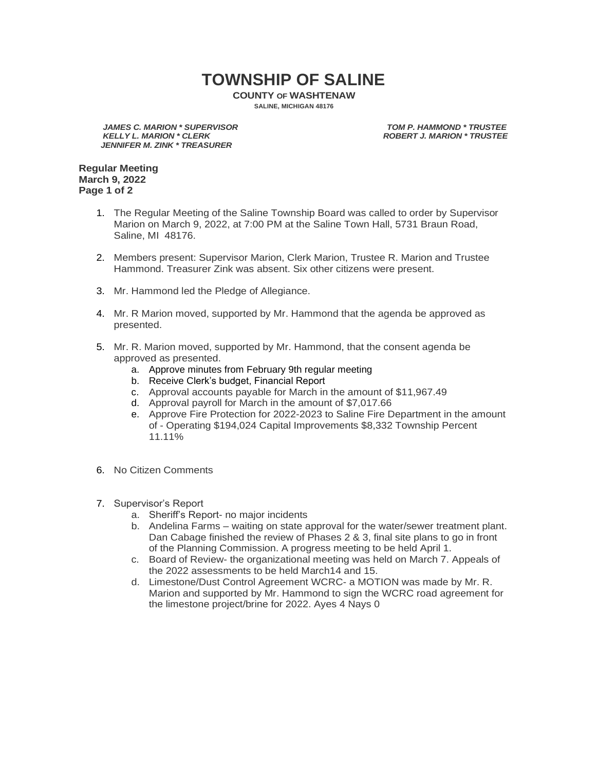## **TOWNSHIP OF SALINE**

**COUNTY OF WASHTENAW SALINE, MICHIGAN 48176**

*JAMES C. MARION \* SUPERVISOR TOM P. HAMMOND \* TRUSTEE JENNIFER M. ZINK \* TREASURER*

**ROBERT J. MARION \* TRUSTEE** 

**Regular Meeting March 9, 2022 Page 1 of 2**

- 1. The Regular Meeting of the Saline Township Board was called to order by Supervisor Marion on March 9, 2022, at 7:00 PM at the Saline Town Hall, 5731 Braun Road, Saline, MI 48176.
- 2. Members present: Supervisor Marion, Clerk Marion, Trustee R. Marion and Trustee Hammond. Treasurer Zink was absent. Six other citizens were present.
- 3. Mr. Hammond led the Pledge of Allegiance.
- 4. Mr. R Marion moved, supported by Mr. Hammond that the agenda be approved as presented.
- 5. Mr. R. Marion moved, supported by Mr. Hammond, that the consent agenda be approved as presented.
	- a. Approve minutes from February 9th regular meeting
	- b. Receive Clerk's budget, Financial Report
	- c. Approval accounts payable for March in the amount of \$11,967.49
	- d. Approval payroll for March in the amount of \$7,017.66
	- e. Approve Fire Protection for 2022-2023 to Saline Fire Department in the amount of - Operating \$194,024 Capital Improvements \$8,332 Township Percent 11.11%
- 6. No Citizen Comments
- 7. Supervisor's Report
	- a. Sheriff's Report- no major incidents
	- b. Andelina Farms waiting on state approval for the water/sewer treatment plant. Dan Cabage finished the review of Phases 2 & 3, final site plans to go in front of the Planning Commission. A progress meeting to be held April 1.
	- c. Board of Review- the organizational meeting was held on March 7. Appeals of the 2022 assessments to be held March14 and 15.
	- d. Limestone/Dust Control Agreement WCRC- a MOTION was made by Mr. R. Marion and supported by Mr. Hammond to sign the WCRC road agreement for the limestone project/brine for 2022. Ayes 4 Nays 0